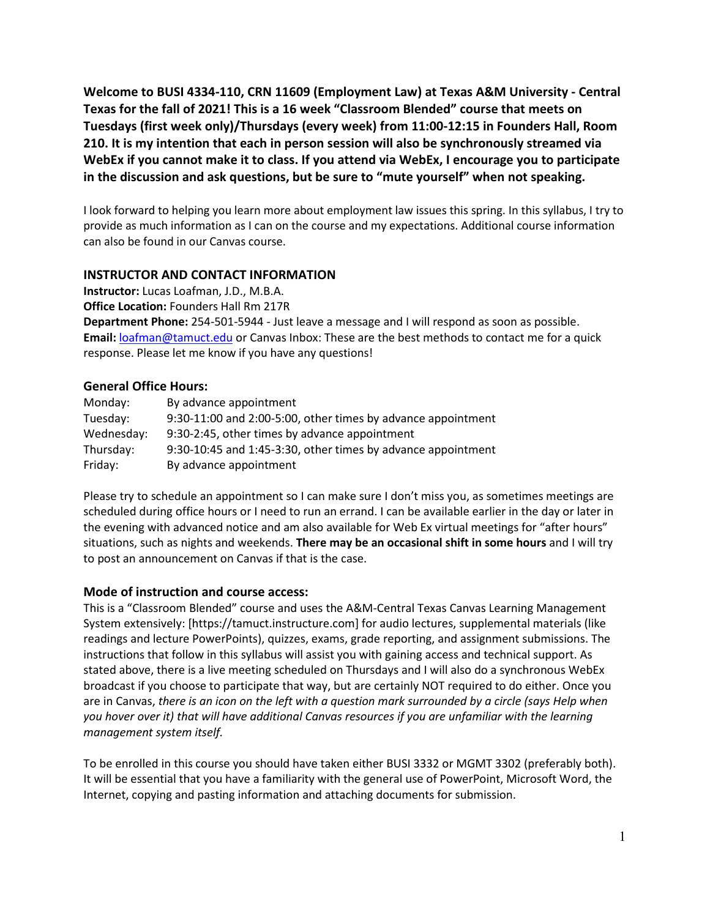**Welcome to BUSI 4334-110, CRN 11609 (Employment Law) at Texas A&M University - Central Texas for the fall of 2021! This is a 16 week "Classroom Blended" course that meets on Tuesdays (first week only)/Thursdays (every week) from 11:00-12:15 in Founders Hall, Room 210. It is my intention that each in person session will also be synchronously streamed via WebEx if you cannot make it to class. If you attend via WebEx, I encourage you to participate in the discussion and ask questions, but be sure to "mute yourself" when not speaking.**

I look forward to helping you learn more about employment law issues this spring. In this syllabus, I try to provide as much information as I can on the course and my expectations. Additional course information can also be found in our Canvas course.

#### **INSTRUCTOR AND CONTACT INFORMATION**

**Instructor:** Lucas Loafman, J.D., M.B.A.

**Office Location:** Founders Hall Rm 217R

**Department Phone:** 254-501-5944 - Just leave a message and I will respond as soon as possible. **Email:** [loafman@tamuct.edu](mailto:loafman@tamuct.edu) or Canvas Inbox: These are the best methods to contact me for a quick response. Please let me know if you have any questions!

#### **General Office Hours:**

| Monday:    | By advance appointment                                       |
|------------|--------------------------------------------------------------|
| Tuesday:   | 9:30-11:00 and 2:00-5:00, other times by advance appointment |
| Wednesday: | 9:30-2:45, other times by advance appointment                |
| Thursday:  | 9:30-10:45 and 1:45-3:30, other times by advance appointment |
| Friday:    | By advance appointment                                       |

Please try to schedule an appointment so I can make sure I don't miss you, as sometimes meetings are scheduled during office hours or I need to run an errand. I can be available earlier in the day or later in the evening with advanced notice and am also available for Web Ex virtual meetings for "after hours" situations, such as nights and weekends. **There may be an occasional shift in some hours** and I will try to post an announcement on Canvas if that is the case.

#### **Mode of instruction and course access:**

This is a "Classroom Blended" course and uses the A&M-Central Texas Canvas Learning Management System extensively: [https://tamuct.instructure.com] for audio lectures, supplemental materials (like readings and lecture PowerPoints), quizzes, exams, grade reporting, and assignment submissions. The instructions that follow in this syllabus will assist you with gaining access and technical support. As stated above, there is a live meeting scheduled on Thursdays and I will also do a synchronous WebEx broadcast if you choose to participate that way, but are certainly NOT required to do either. Once you are in Canvas, *there is an icon on the left with a question mark surrounded by a circle (says Help when you hover over it) that will have additional Canvas resources if you are unfamiliar with the learning management system itself.*

To be enrolled in this course you should have taken either BUSI 3332 or MGMT 3302 (preferably both). It will be essential that you have a familiarity with the general use of PowerPoint, Microsoft Word, the Internet, copying and pasting information and attaching documents for submission.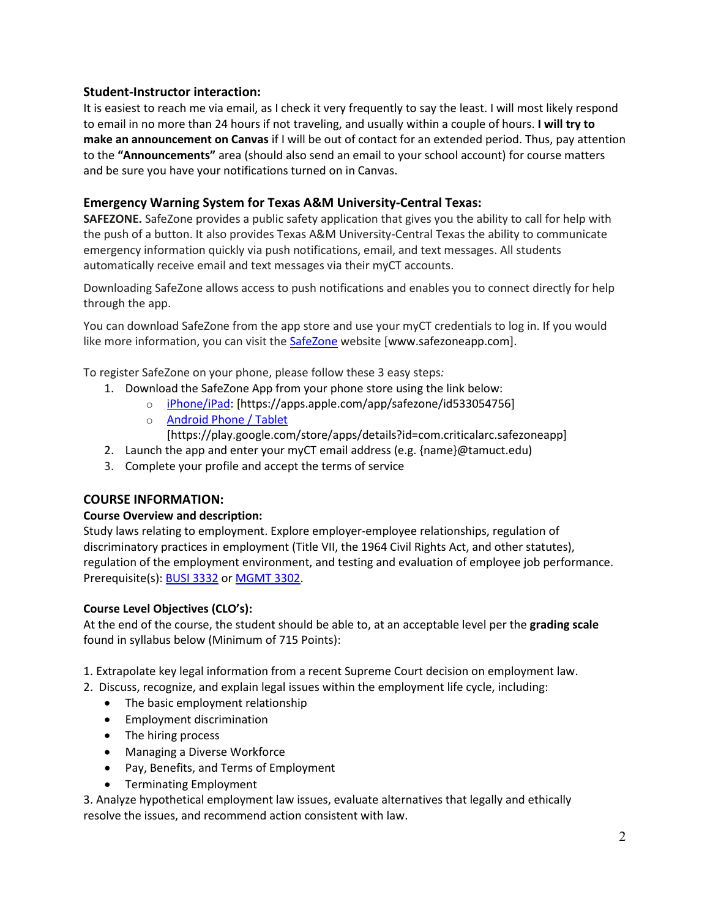#### **Student-Instructor interaction:**

It is easiest to reach me via email, as I check it very frequently to say the least. I will most likely respond to email in no more than 24 hours if not traveling, and usually within a couple of hours. **I will try to make an announcement on Canvas** if I will be out of contact for an extended period. Thus, pay attention to the **"Announcements"** area (should also send an email to your school account) for course matters and be sure you have your notifications turned on in Canvas.

#### **Emergency Warning System for Texas A&M University-Central Texas:**

**SAFEZONE.** SafeZone provides a public safety application that gives you the ability to call for help with the push of a button. It also provides Texas A&M University-Central Texas the ability to communicate emergency information quickly via push notifications, email, and text messages. All students automatically receive email and text messages via their myCT accounts.

Downloading SafeZone allows access to push notifications and enables you to connect directly for help through the app.

You can download SafeZone from the app store and use your myCT credentials to log in. If you would like more information, you can visit the **[SafeZone](http://www.safezoneapp.com/)** website [www.safezoneapp.com].

To register SafeZone on your phone, please follow these 3 easy steps*:*

- 1. Download the SafeZone App from your phone store using the link below:
	- o [iPhone/iPad:](https://apps.apple.com/app/safezone/id533054756) [https://apps.apple.com/app/safezone/id533054756]
	- o [Android Phone / Tablet](https://play.google.com/store/apps/details?id=com.criticalarc.safezoneapp) [https://play.google.com/store/apps/details?id=com.criticalarc.safezoneapp]
- 2. Launch the app and enter your myCT email address (e.g. {name}@tamuct.edu)
- 3. Complete your profile and accept the terms of service

#### **COURSE INFORMATION:**

#### **Course Overview and description:**

Study laws relating to employment. Explore employer-employee relationships, regulation of discriminatory practices in employment (Title VII, the 1964 Civil Rights Act, and other statutes), regulation of the employment environment, and testing and evaluation of employee job performance. Prerequisite(s): **BUSI [3332](http://catalog.tamuct.edu/search/?P=BUSI%203332)** or **[MGMT](http://catalog.tamuct.edu/search/?P=MGMT%203302) 3302**.

#### **Course Level Objectives (CLO's):**

At the end of the course, the student should be able to, at an acceptable level per the **grading scale**  found in syllabus below (Minimum of 715 Points):

- 1. Extrapolate key legal information from a recent Supreme Court decision on employment law.
- 2. Discuss, recognize, and explain legal issues within the employment life cycle, including:
	- The basic employment relationship
	- Employment discrimination
	- The hiring process
	- Managing a Diverse Workforce
	- Pay, Benefits, and Terms of Employment
	- Terminating Employment

3. Analyze hypothetical employment law issues, evaluate alternatives that legally and ethically resolve the issues, and recommend action consistent with law.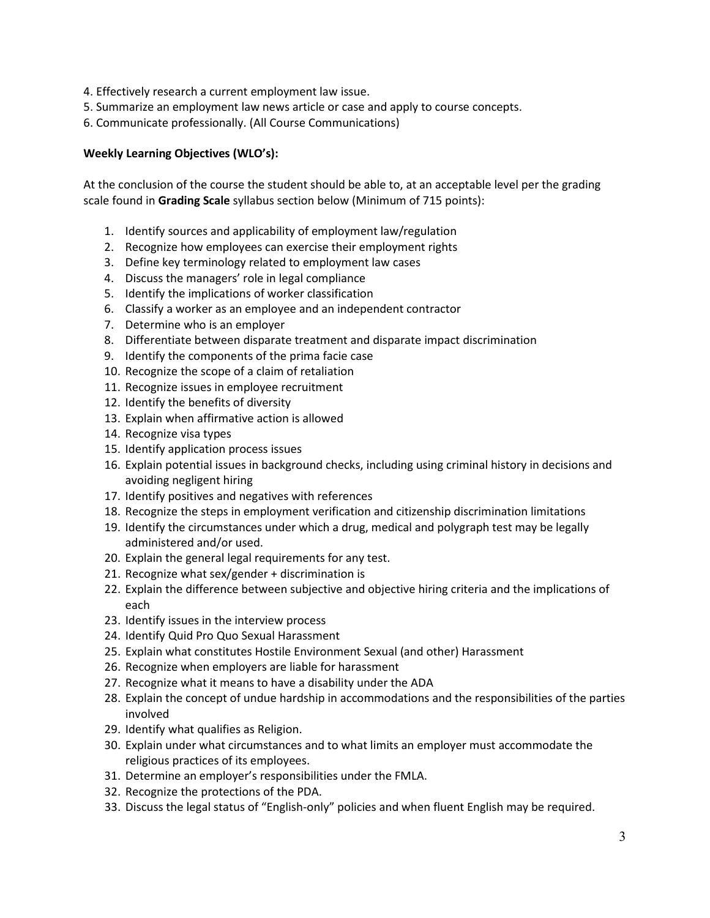- 4. Effectively research a current employment law issue.
- 5. Summarize an employment law news article or case and apply to course concepts.
- 6. Communicate professionally. (All Course Communications)

#### **Weekly Learning Objectives (WLO's):**

At the conclusion of the course the student should be able to, at an acceptable level per the grading scale found in **Grading Scale** syllabus section below (Minimum of 715 points):

- 1. Identify sources and applicability of employment law/regulation
- 2. Recognize how employees can exercise their employment rights
- 3. Define key terminology related to employment law cases
- 4. Discuss the managers' role in legal compliance
- 5. Identify the implications of worker classification
- 6. Classify a worker as an employee and an independent contractor
- 7. Determine who is an employer
- 8. Differentiate between disparate treatment and disparate impact discrimination
- 9. Identify the components of the prima facie case
- 10. Recognize the scope of a claim of retaliation
- 11. Recognize issues in employee recruitment
- 12. Identify the benefits of diversity
- 13. Explain when affirmative action is allowed
- 14. Recognize visa types
- 15. Identify application process issues
- 16. Explain potential issues in background checks, including using criminal history in decisions and avoiding negligent hiring
- 17. Identify positives and negatives with references
- 18. Recognize the steps in employment verification and citizenship discrimination limitations
- 19. Identify the circumstances under which a drug, medical and polygraph test may be legally administered and/or used.
- 20. Explain the general legal requirements for any test.
- 21. Recognize what sex/gender + discrimination is
- 22. Explain the difference between subjective and objective hiring criteria and the implications of each
- 23. Identify issues in the interview process
- 24. Identify Quid Pro Quo Sexual Harassment
- 25. Explain what constitutes Hostile Environment Sexual (and other) Harassment
- 26. Recognize when employers are liable for harassment
- 27. Recognize what it means to have a disability under the ADA
- 28. Explain the concept of undue hardship in accommodations and the responsibilities of the parties involved
- 29. Identify what qualifies as Religion.
- 30. Explain under what circumstances and to what limits an employer must accommodate the religious practices of its employees.
- 31. Determine an employer's responsibilities under the FMLA.
- 32. Recognize the protections of the PDA.
- 33. Discuss the legal status of "English-only" policies and when fluent English may be required.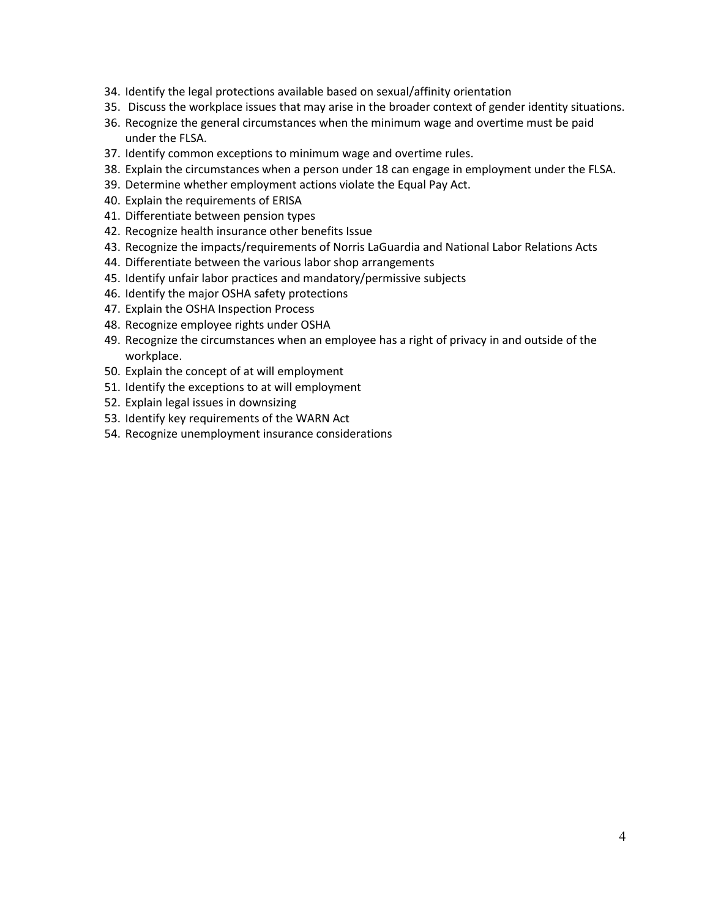- 34. Identify the legal protections available based on sexual/affinity orientation
- 35. Discuss the workplace issues that may arise in the broader context of gender identity situations.
- 36. Recognize the general circumstances when the minimum wage and overtime must be paid under the FLSA.
- 37. Identify common exceptions to minimum wage and overtime rules.
- 38. Explain the circumstances when a person under 18 can engage in employment under the FLSA.
- 39. Determine whether employment actions violate the Equal Pay Act.
- 40. Explain the requirements of ERISA
- 41. Differentiate between pension types
- 42. Recognize health insurance other benefits Issue
- 43. Recognize the impacts/requirements of Norris LaGuardia and National Labor Relations Acts
- 44. Differentiate between the various labor shop arrangements
- 45. Identify unfair labor practices and mandatory/permissive subjects
- 46. Identify the major OSHA safety protections
- 47. Explain the OSHA Inspection Process
- 48. Recognize employee rights under OSHA
- 49. Recognize the circumstances when an employee has a right of privacy in and outside of the workplace.
- 50. Explain the concept of at will employment
- 51. Identify the exceptions to at will employment
- 52. Explain legal issues in downsizing
- 53. Identify key requirements of the WARN Act
- 54. Recognize unemployment insurance considerations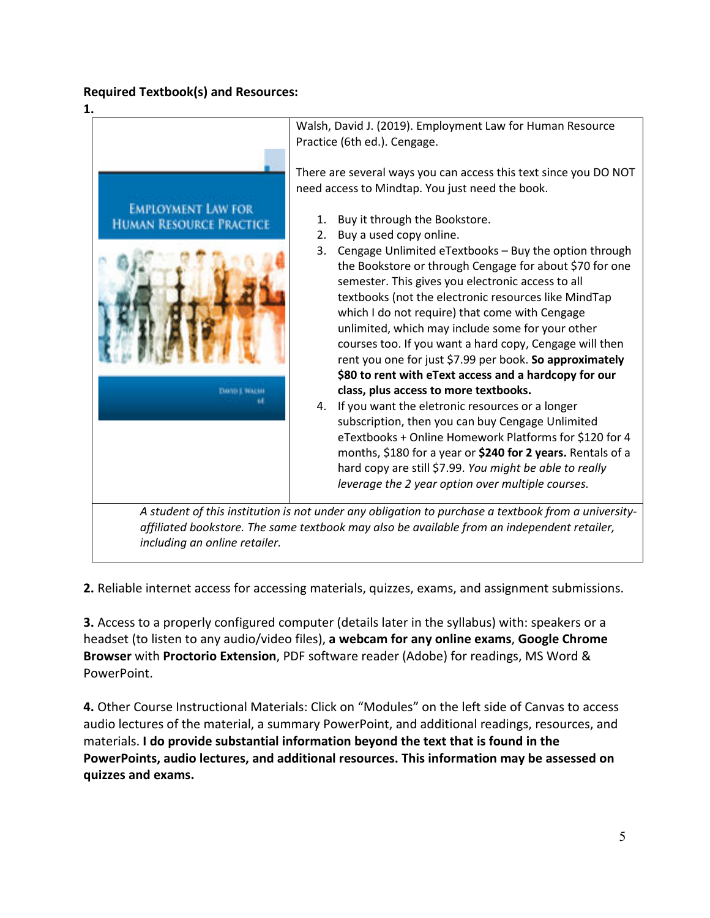# **Required Textbook(s) and Resources:**



**2.** Reliable internet access for accessing materials, quizzes, exams, and assignment submissions.

**3.** Access to a properly configured computer (details later in the syllabus) with: speakers or a headset (to listen to any audio/video files), **a webcam for any online exams**, **Google Chrome Browser** with **Proctorio Extension**, PDF software reader (Adobe) for readings, MS Word & PowerPoint.

**4.** Other Course Instructional Materials: Click on "Modules" on the left side of Canvas to access audio lectures of the material, a summary PowerPoint, and additional readings, resources, and materials. **I do provide substantial information beyond the text that is found in the PowerPoints, audio lectures, and additional resources. This information may be assessed on quizzes and exams.**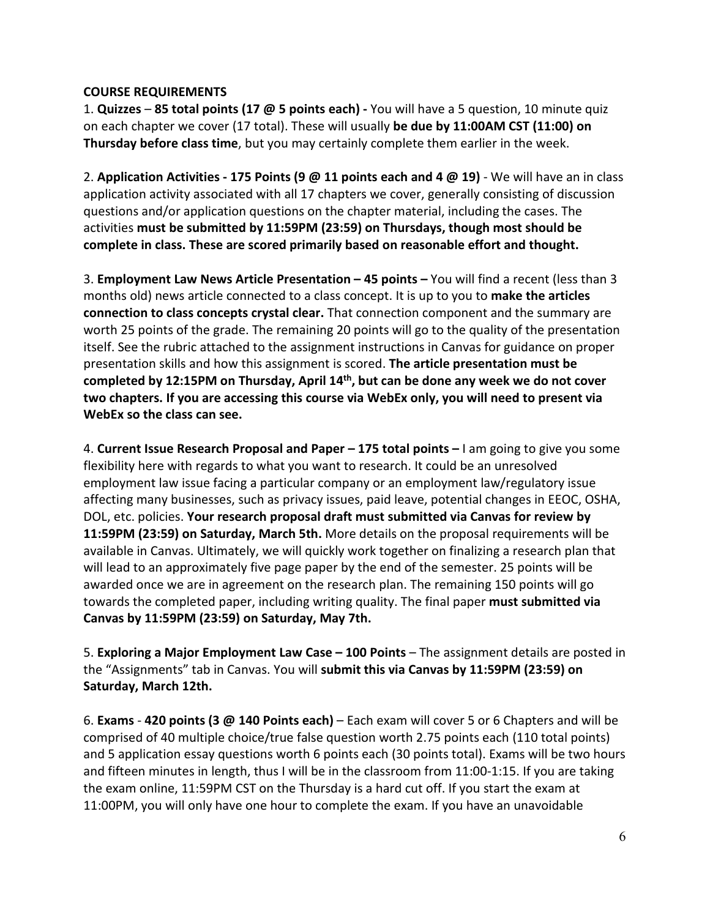## **COURSE REQUIREMENTS**

1. **Quizzes** – **85 total points (17 @ 5 points each) -** You will have a 5 question, 10 minute quiz on each chapter we cover (17 total). These will usually **be due by 11:00AM CST (11:00) on Thursday before class time**, but you may certainly complete them earlier in the week.

2. **Application Activities - 175 Points (9 @ 11 points each and 4 @ 19)** - We will have an in class application activity associated with all 17 chapters we cover, generally consisting of discussion questions and/or application questions on the chapter material, including the cases. The activities **must be submitted by 11:59PM (23:59) on Thursdays, though most should be complete in class. These are scored primarily based on reasonable effort and thought.**

3. **Employment Law News Article Presentation – 45 points –** You will find a recent (less than 3 months old) news article connected to a class concept. It is up to you to **make the articles connection to class concepts crystal clear.** That connection component and the summary are worth 25 points of the grade. The remaining 20 points will go to the quality of the presentation itself. See the rubric attached to the assignment instructions in Canvas for guidance on proper presentation skills and how this assignment is scored. **The article presentation must be completed by 12:15PM on Thursday, April 14th, but can be done any week we do not cover two chapters. If you are accessing this course via WebEx only, you will need to present via WebEx so the class can see.**

4. **Current Issue Research Proposal and Paper – 175 total points –** I am going to give you some flexibility here with regards to what you want to research. It could be an unresolved employment law issue facing a particular company or an employment law/regulatory issue affecting many businesses, such as privacy issues, paid leave, potential changes in EEOC, OSHA, DOL, etc. policies. **Your research proposal draft must submitted via Canvas for review by 11:59PM (23:59) on Saturday, March 5th.** More details on the proposal requirements will be available in Canvas. Ultimately, we will quickly work together on finalizing a research plan that will lead to an approximately five page paper by the end of the semester. 25 points will be awarded once we are in agreement on the research plan. The remaining 150 points will go towards the completed paper, including writing quality. The final paper **must submitted via Canvas by 11:59PM (23:59) on Saturday, May 7th.**

5. **Exploring a Major Employment Law Case – 100 Points** – The assignment details are posted in the "Assignments" tab in Canvas. You will **submit this via Canvas by 11:59PM (23:59) on Saturday, March 12th.**

6. **Exams** - **420 points (3 @ 140 Points each)** – Each exam will cover 5 or 6 Chapters and will be comprised of 40 multiple choice/true false question worth 2.75 points each (110 total points) and 5 application essay questions worth 6 points each (30 points total). Exams will be two hours and fifteen minutes in length, thus I will be in the classroom from 11:00-1:15. If you are taking the exam online, 11:59PM CST on the Thursday is a hard cut off. If you start the exam at 11:00PM, you will only have one hour to complete the exam. If you have an unavoidable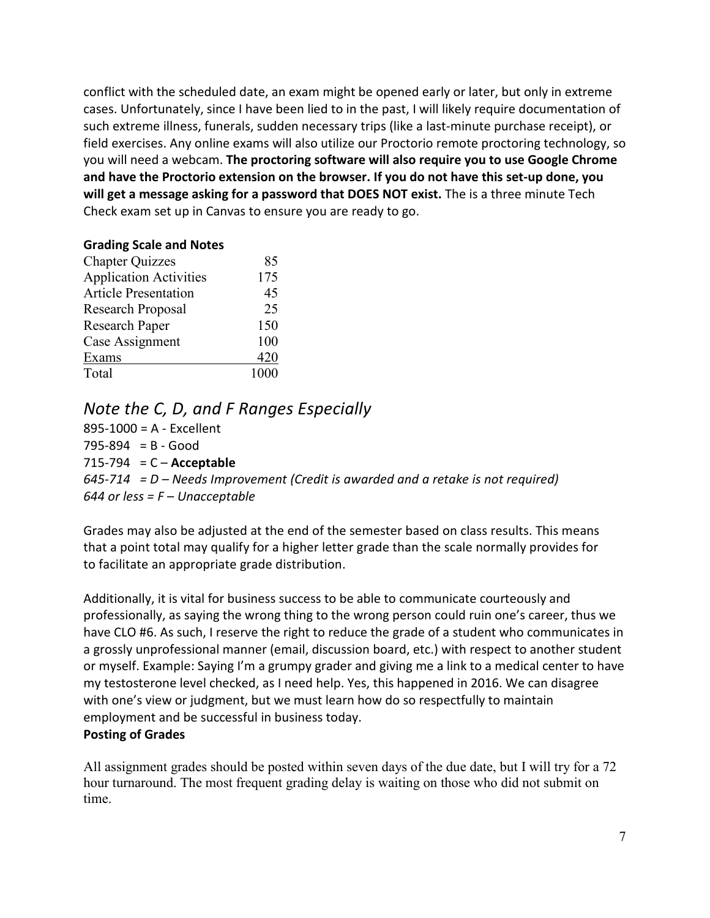conflict with the scheduled date, an exam might be opened early or later, but only in extreme cases. Unfortunately, since I have been lied to in the past, I will likely require documentation of such extreme illness, funerals, sudden necessary trips (like a last-minute purchase receipt), or field exercises. Any online exams will also utilize our Proctorio remote proctoring technology, so you will need a webcam. **The proctoring software will also require you to use Google Chrome and have the Proctorio extension on the browser. If you do not have this set-up done, you will get a message asking for a password that DOES NOT exist.** The is a three minute Tech Check exam set up in Canvas to ensure you are ready to go.

### **Grading Scale and Notes**

| <b>Chapter Quizzes</b>        | 85   |
|-------------------------------|------|
| <b>Application Activities</b> | 175  |
| <b>Article Presentation</b>   | 45   |
| Research Proposal             | 25   |
| <b>Research Paper</b>         | 150  |
| Case Assignment               | 100  |
| Exams                         | 420  |
| Total                         | 1000 |

# *Note the C, D, and F Ranges Especially*

895-1000 = A - Excellent  $795-894 = B - Good$ 715-794 = C – **Acceptable** *645-714 = D – Needs Improvement (Credit is awarded and a retake is not required) 644 or less = F – Unacceptable* 

Grades may also be adjusted at the end of the semester based on class results. This means that a point total may qualify for a higher letter grade than the scale normally provides for to facilitate an appropriate grade distribution.

Additionally, it is vital for business success to be able to communicate courteously and professionally, as saying the wrong thing to the wrong person could ruin one's career, thus we have CLO #6. As such, I reserve the right to reduce the grade of a student who communicates in a grossly unprofessional manner (email, discussion board, etc.) with respect to another student or myself. Example: Saying I'm a grumpy grader and giving me a link to a medical center to have my testosterone level checked, as I need help. Yes, this happened in 2016. We can disagree with one's view or judgment, but we must learn how do so respectfully to maintain employment and be successful in business today.

### **Posting of Grades**

All assignment grades should be posted within seven days of the due date, but I will try for a 72 hour turnaround. The most frequent grading delay is waiting on those who did not submit on time.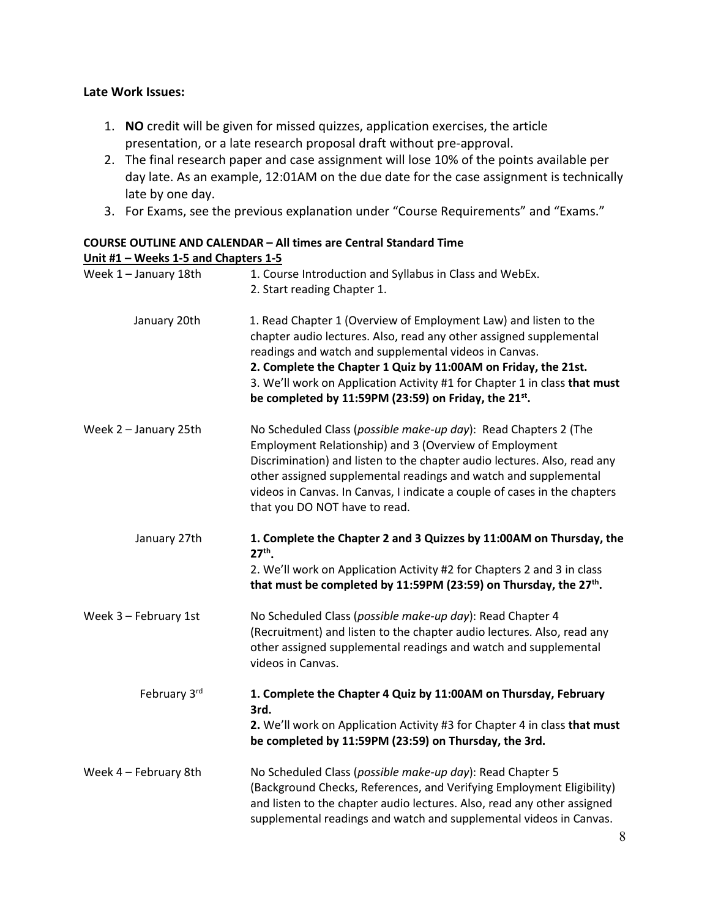## **Late Work Issues:**

- 1. **NO** credit will be given for missed quizzes, application exercises, the article presentation, or a late research proposal draft without pre-approval.
- 2. The final research paper and case assignment will lose 10% of the points available per day late. As an example, 12:01AM on the due date for the case assignment is technically late by one day.
- 3. For Exams, see the previous explanation under "Course Requirements" and "Exams."

#### **COURSE OUTLINE AND CALENDAR – All times are Central Standard Time Unit #1 – Weeks 1-5 and Chapters 1-5**

| Week 1 - January 18th | 1. Course Introduction and Syllabus in Class and WebEx.<br>2. Start reading Chapter 1.                                                                                                                                                                                                                                                                                                                 |
|-----------------------|--------------------------------------------------------------------------------------------------------------------------------------------------------------------------------------------------------------------------------------------------------------------------------------------------------------------------------------------------------------------------------------------------------|
| January 20th          | 1. Read Chapter 1 (Overview of Employment Law) and listen to the<br>chapter audio lectures. Also, read any other assigned supplemental<br>readings and watch and supplemental videos in Canvas.<br>2. Complete the Chapter 1 Quiz by 11:00AM on Friday, the 21st.<br>3. We'll work on Application Activity #1 for Chapter 1 in class that must<br>be completed by 11:59PM (23:59) on Friday, the 21st. |
| Week 2 - January 25th | No Scheduled Class (possible make-up day): Read Chapters 2 (The<br>Employment Relationship) and 3 (Overview of Employment<br>Discrimination) and listen to the chapter audio lectures. Also, read any<br>other assigned supplemental readings and watch and supplemental<br>videos in Canvas. In Canvas, I indicate a couple of cases in the chapters<br>that you DO NOT have to read.                 |
| January 27th          | 1. Complete the Chapter 2 and 3 Quizzes by 11:00AM on Thursday, the<br>$27th$ .<br>2. We'll work on Application Activity #2 for Chapters 2 and 3 in class<br>that must be completed by 11:59PM (23:59) on Thursday, the 27 <sup>th</sup> .                                                                                                                                                             |
| Week 3 - February 1st | No Scheduled Class (possible make-up day): Read Chapter 4<br>(Recruitment) and listen to the chapter audio lectures. Also, read any<br>other assigned supplemental readings and watch and supplemental<br>videos in Canvas.                                                                                                                                                                            |
| February 3rd          | 1. Complete the Chapter 4 Quiz by 11:00AM on Thursday, February<br>3rd.<br>2. We'll work on Application Activity #3 for Chapter 4 in class that must<br>be completed by 11:59PM (23:59) on Thursday, the 3rd.                                                                                                                                                                                          |
| Week 4 - February 8th | No Scheduled Class (possible make-up day): Read Chapter 5<br>(Background Checks, References, and Verifying Employment Eligibility)<br>and listen to the chapter audio lectures. Also, read any other assigned<br>supplemental readings and watch and supplemental videos in Canvas.                                                                                                                    |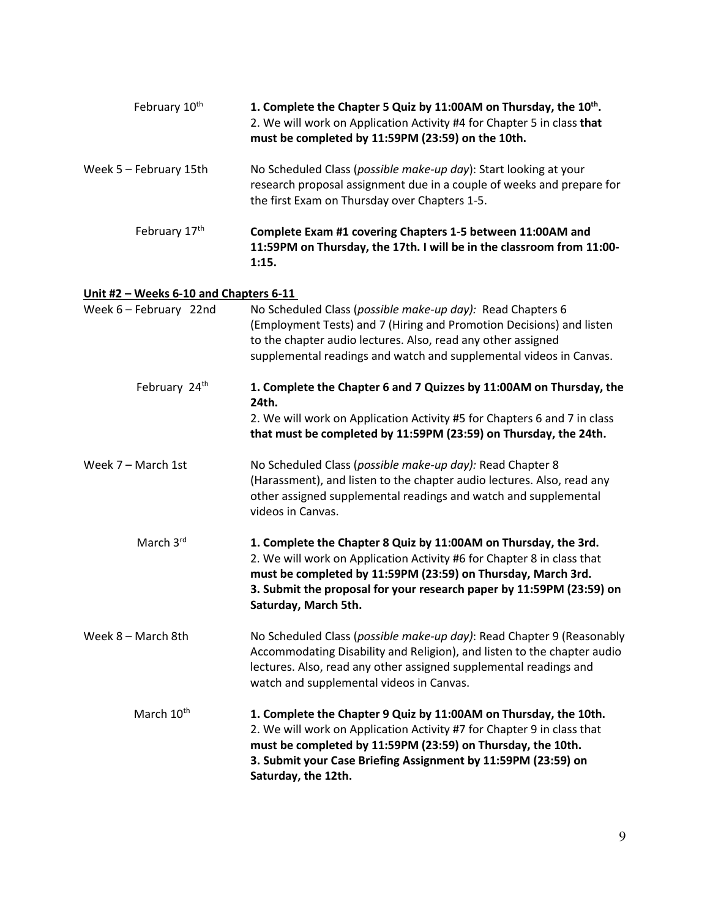| February 10 <sup>th</sup>              | 1. Complete the Chapter 5 Quiz by 11:00AM on Thursday, the 10 <sup>th</sup> .<br>2. We will work on Application Activity #4 for Chapter 5 in class that<br>must be completed by 11:59PM (23:59) on the 10th.                                                                                              |
|----------------------------------------|-----------------------------------------------------------------------------------------------------------------------------------------------------------------------------------------------------------------------------------------------------------------------------------------------------------|
| Week 5 - February 15th                 | No Scheduled Class (possible make-up day): Start looking at your<br>research proposal assignment due in a couple of weeks and prepare for<br>the first Exam on Thursday over Chapters 1-5.                                                                                                                |
| February 17th                          | Complete Exam #1 covering Chapters 1-5 between 11:00AM and<br>11:59PM on Thursday, the 17th. I will be in the classroom from 11:00-<br>1:15.                                                                                                                                                              |
| Unit #2 - Weeks 6-10 and Chapters 6-11 |                                                                                                                                                                                                                                                                                                           |
| Week 6 - February 22nd                 | No Scheduled Class (possible make-up day): Read Chapters 6<br>(Employment Tests) and 7 (Hiring and Promotion Decisions) and listen<br>to the chapter audio lectures. Also, read any other assigned<br>supplemental readings and watch and supplemental videos in Canvas.                                  |
| February 24th                          | 1. Complete the Chapter 6 and 7 Quizzes by 11:00AM on Thursday, the<br>24th.                                                                                                                                                                                                                              |
|                                        | 2. We will work on Application Activity #5 for Chapters 6 and 7 in class<br>that must be completed by 11:59PM (23:59) on Thursday, the 24th.                                                                                                                                                              |
| Week 7 - March 1st                     | No Scheduled Class (possible make-up day): Read Chapter 8<br>(Harassment), and listen to the chapter audio lectures. Also, read any<br>other assigned supplemental readings and watch and supplemental<br>videos in Canvas.                                                                               |
| March 3rd                              | 1. Complete the Chapter 8 Quiz by 11:00AM on Thursday, the 3rd.<br>2. We will work on Application Activity #6 for Chapter 8 in class that<br>must be completed by 11:59PM (23:59) on Thursday, March 3rd.<br>3. Submit the proposal for your research paper by 11:59PM (23:59) on<br>Saturday, March 5th. |
| Week 8 - March 8th                     | No Scheduled Class (possible make-up day): Read Chapter 9 (Reasonably<br>Accommodating Disability and Religion), and listen to the chapter audio<br>lectures. Also, read any other assigned supplemental readings and<br>watch and supplemental videos in Canvas.                                         |
| March 10 <sup>th</sup>                 | 1. Complete the Chapter 9 Quiz by 11:00AM on Thursday, the 10th.<br>2. We will work on Application Activity #7 for Chapter 9 in class that<br>must be completed by 11:59PM (23:59) on Thursday, the 10th.<br>3. Submit your Case Briefing Assignment by 11:59PM (23:59) on<br>Saturday, the 12th.         |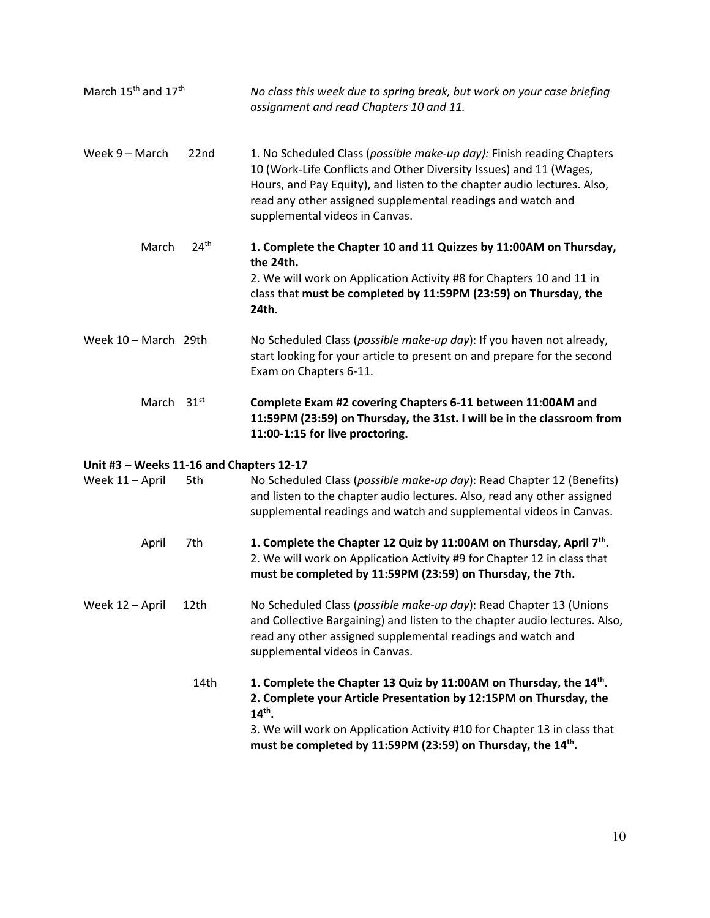| March 15 <sup>th</sup> and 17 <sup>th</sup> |                  | No class this week due to spring break, but work on your case briefing<br>assignment and read Chapters 10 and 11.                                                                                                                                                                                                       |
|---------------------------------------------|------------------|-------------------------------------------------------------------------------------------------------------------------------------------------------------------------------------------------------------------------------------------------------------------------------------------------------------------------|
| Week $9 -$ March                            | 22nd             | 1. No Scheduled Class (possible make-up day): Finish reading Chapters<br>10 (Work-Life Conflicts and Other Diversity Issues) and 11 (Wages,<br>Hours, and Pay Equity), and listen to the chapter audio lectures. Also,<br>read any other assigned supplemental readings and watch and<br>supplemental videos in Canvas. |
| March                                       | 24 <sup>th</sup> | 1. Complete the Chapter 10 and 11 Quizzes by 11:00AM on Thursday,<br>the 24th.                                                                                                                                                                                                                                          |
|                                             |                  | 2. We will work on Application Activity #8 for Chapters 10 and 11 in<br>class that must be completed by 11:59PM (23:59) on Thursday, the<br>24th.                                                                                                                                                                       |
| Week $10 - March$ 29th                      |                  | No Scheduled Class (possible make-up day): If you haven not already,<br>start looking for your article to present on and prepare for the second<br>Exam on Chapters 6-11.                                                                                                                                               |
| March 31 <sup>st</sup>                      |                  | Complete Exam #2 covering Chapters 6-11 between 11:00AM and<br>11:59PM (23:59) on Thursday, the 31st. I will be in the classroom from<br>11:00-1:15 for live proctoring.                                                                                                                                                |
| Unit #3 - Weeks 11-16 and Chapters 12-17    |                  |                                                                                                                                                                                                                                                                                                                         |
| Week 11 - April                             | 5th              | No Scheduled Class (possible make-up day): Read Chapter 12 (Benefits)<br>and listen to the chapter audio lectures. Also, read any other assigned<br>supplemental readings and watch and supplemental videos in Canvas.                                                                                                  |
| April                                       | 7th              | 1. Complete the Chapter 12 Quiz by 11:00AM on Thursday, April 7th.<br>2. We will work on Application Activity #9 for Chapter 12 in class that<br>must be completed by 11:59PM (23:59) on Thursday, the 7th.                                                                                                             |
| Week 12 - April                             | 12th             | No Scheduled Class (possible make-up day): Read Chapter 13 (Unions<br>and Collective Bargaining) and listen to the chapter audio lectures. Also,<br>read any other assigned supplemental readings and watch and<br>supplemental videos in Canvas.                                                                       |
|                                             | 14th             | 1. Complete the Chapter 13 Quiz by 11:00AM on Thursday, the 14th.<br>2. Complete your Article Presentation by 12:15PM on Thursday, the<br>$14^{th}$ .                                                                                                                                                                   |
|                                             |                  | 3. We will work on Application Activity #10 for Chapter 13 in class that<br>must be completed by 11:59PM (23:59) on Thursday, the 14 <sup>th</sup> .                                                                                                                                                                    |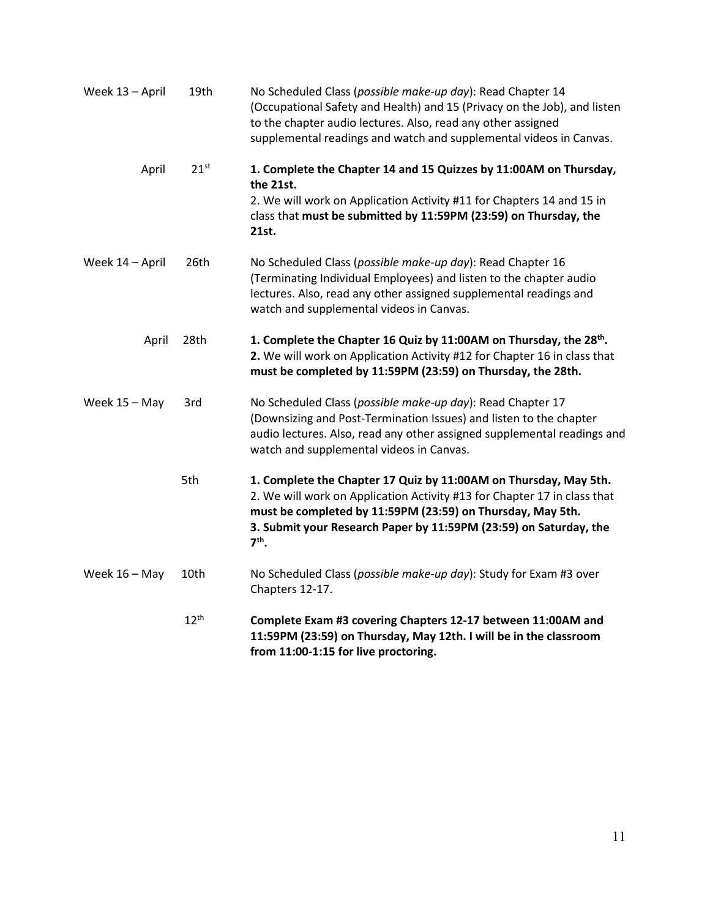| Week 13 - April | 19th             | No Scheduled Class (possible make-up day): Read Chapter 14<br>(Occupational Safety and Health) and 15 (Privacy on the Job), and listen<br>to the chapter audio lectures. Also, read any other assigned<br>supplemental readings and watch and supplemental videos in Canvas.               |
|-----------------|------------------|--------------------------------------------------------------------------------------------------------------------------------------------------------------------------------------------------------------------------------------------------------------------------------------------|
| April           | $21^{st}$        | 1. Complete the Chapter 14 and 15 Quizzes by 11:00AM on Thursday,<br>the 21st.<br>2. We will work on Application Activity #11 for Chapters 14 and 15 in<br>class that must be submitted by 11:59PM (23:59) on Thursday, the<br>21st.                                                       |
| Week 14 - April | 26th             | No Scheduled Class (possible make-up day): Read Chapter 16<br>(Terminating Individual Employees) and listen to the chapter audio<br>lectures. Also, read any other assigned supplemental readings and<br>watch and supplemental videos in Canvas.                                          |
| April           | 28th             | 1. Complete the Chapter 16 Quiz by 11:00AM on Thursday, the 28 <sup>th</sup> .<br>2. We will work on Application Activity #12 for Chapter 16 in class that<br>must be completed by 11:59PM (23:59) on Thursday, the 28th.                                                                  |
| Week 15 - May   | 3rd              | No Scheduled Class (possible make-up day): Read Chapter 17<br>(Downsizing and Post-Termination Issues) and listen to the chapter<br>audio lectures. Also, read any other assigned supplemental readings and<br>watch and supplemental videos in Canvas.                                    |
|                 | 5th              | 1. Complete the Chapter 17 Quiz by 11:00AM on Thursday, May 5th.<br>2. We will work on Application Activity #13 for Chapter 17 in class that<br>must be completed by 11:59PM (23:59) on Thursday, May 5th.<br>3. Submit your Research Paper by 11:59PM (23:59) on Saturday, the<br>$7th$ . |
| Week $16 - May$ | 10th             | No Scheduled Class (possible make-up day): Study for Exam #3 over<br>Chapters 12-17.                                                                                                                                                                                                       |
|                 | 12 <sup>th</sup> | Complete Exam #3 covering Chapters 12-17 between 11:00AM and<br>11:59PM (23:59) on Thursday, May 12th. I will be in the classroom<br>from 11:00-1:15 for live proctoring.                                                                                                                  |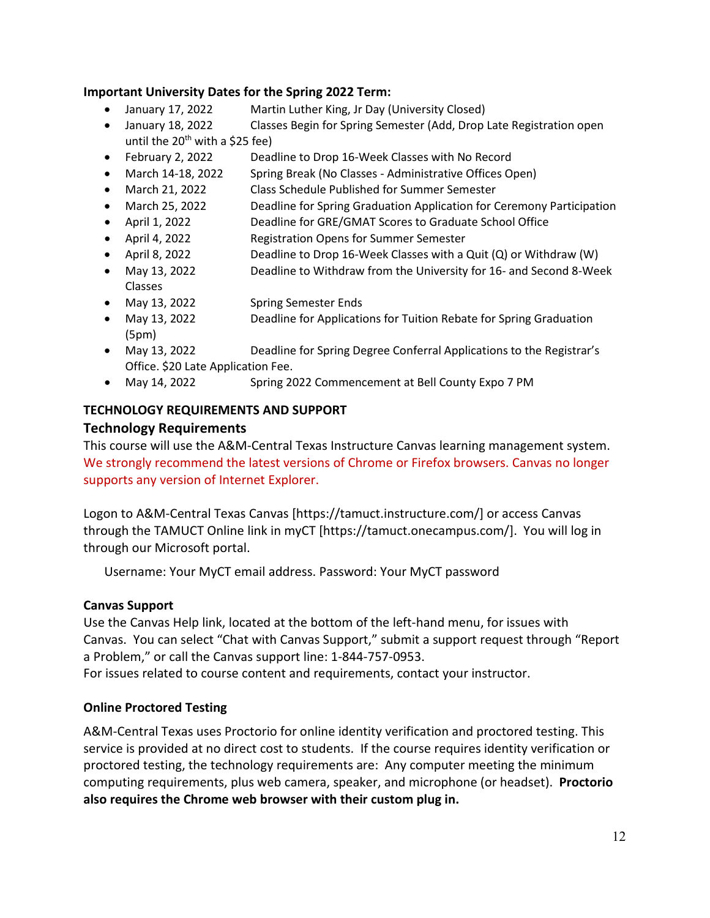## **Important University Dates for the Spring 2022 Term:**

- January 17, 2022 Martin Luther King, Jr Day (University Closed)
- January 18, 2022 Classes Begin for Spring Semester (Add, Drop Late Registration open until the  $20^{th}$  with a \$25 fee)
- February 2, 2022 Deadline to Drop 16-Week Classes with No Record
- March 14-18, 2022 Spring Break (No Classes Administrative Offices Open)
- March 21, 2022 Class Schedule Published for Summer Semester
- March 25, 2022 Deadline for Spring Graduation Application for Ceremony Participation
- April 1, 2022 Deadline for GRE/GMAT Scores to Graduate School Office
- April 4, 2022 Registration Opens for Summer Semester
- April 8, 2022 Deadline to Drop 16-Week Classes with a Quit (Q) or Withdraw (W)
- May 13, 2022 Deadline to Withdraw from the University for 16- and Second 8-Week Classes
- May 13, 2022 Spring Semester Ends
- May 13, 2022 Deadline for Applications for Tuition Rebate for Spring Graduation (5pm)
- May 13, 2022 Deadline for Spring Degree Conferral Applications to the Registrar's Office. \$20 Late Application Fee.
- May 14, 2022 Spring 2022 Commencement at Bell County Expo 7 PM

# **TECHNOLOGY REQUIREMENTS AND SUPPORT**

## **Technology Requirements**

This course will use the A&M-Central Texas Instructure Canvas learning management system. We strongly recommend the latest versions of Chrome or Firefox browsers. Canvas no longer supports any version of Internet Explorer.

Logon to A&M-Central Texas Canvas [https://tamuct.instructure.com/] or access Canvas through the TAMUCT Online link in myCT [https://tamuct.onecampus.com/]. You will log in through our Microsoft portal.

Username: Your MyCT email address. Password: Your MyCT password

# **Canvas Support**

Use the Canvas Help link, located at the bottom of the left-hand menu, for issues with Canvas. You can select "Chat with Canvas Support," submit a support request through "Report a Problem," or call the Canvas support line: 1-844-757-0953. For issues related to course content and requirements, contact your instructor.

# **Online Proctored Testing**

A&M-Central Texas uses Proctorio for online identity verification and proctored testing. This service is provided at no direct cost to students. If the course requires identity verification or proctored testing, the technology requirements are: Any computer meeting the minimum computing requirements, plus web camera, speaker, and microphone (or headset). **Proctorio also requires the Chrome web browser with their custom plug in.**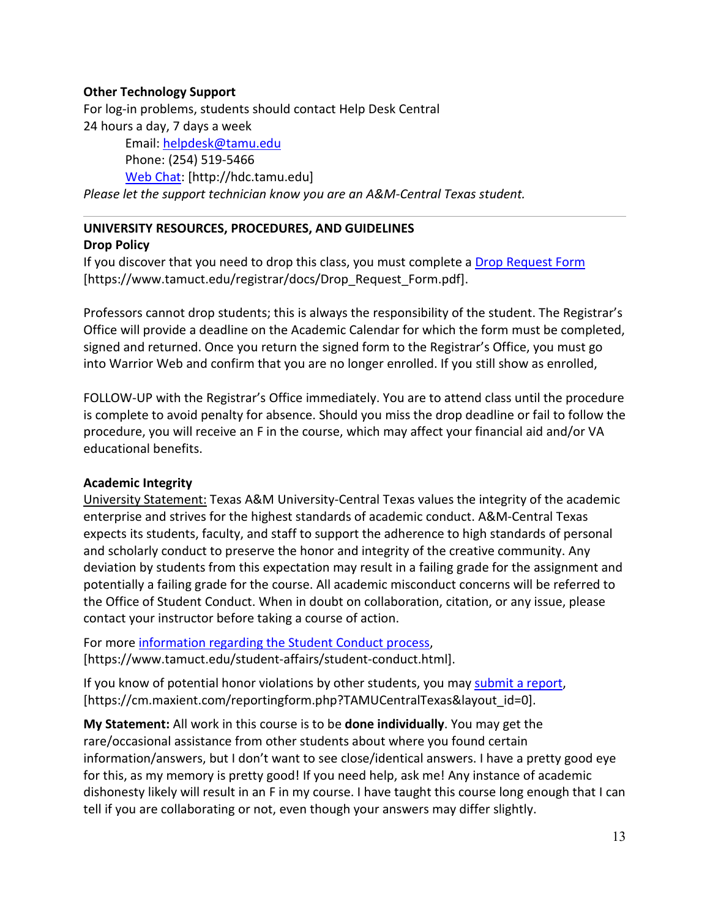## **Other Technology Support**

For log-in problems, students should contact Help Desk Central 24 hours a day, 7 days a week

Email: [helpdesk@tamu.edu](mailto:helpdesk@tamu.edu) Phone: (254) 519-5466 [Web Chat:](http://hdc.tamu.edu/) [http://hdc.tamu.edu] *Please let the support technician know you are an A&M-Central Texas student.*

#### **UNIVERSITY RESOURCES, PROCEDURES, AND GUIDELINES Drop Policy**

If you discover that you need to drop this class, you must complete a [Drop Request Form](https://www.tamuct.edu/registrar/docs/Drop_Request_Form.pdf) [https://www.tamuct.edu/registrar/docs/Drop\_Request\_Form.pdf].

Professors cannot drop students; this is always the responsibility of the student. The Registrar's Office will provide a deadline on the Academic Calendar for which the form must be completed, signed and returned. Once you return the signed form to the Registrar's Office, you must go into Warrior Web and confirm that you are no longer enrolled. If you still show as enrolled,

FOLLOW-UP with the Registrar's Office immediately. You are to attend class until the procedure is complete to avoid penalty for absence. Should you miss the drop deadline or fail to follow the procedure, you will receive an F in the course, which may affect your financial aid and/or VA educational benefits.

### **Academic Integrity**

University Statement: Texas A&M University-Central Texas values the integrity of the academic enterprise and strives for the highest standards of academic conduct. A&M-Central Texas expects its students, faculty, and staff to support the adherence to high standards of personal and scholarly conduct to preserve the honor and integrity of the creative community. Any deviation by students from this expectation may result in a failing grade for the assignment and potentially a failing grade for the course. All academic misconduct concerns will be referred to the Office of Student Conduct. When in doubt on collaboration, citation, or any issue, please contact your instructor before taking a course of action.

For more [information](https://nam04.safelinks.protection.outlook.com/?url=https%3A%2F%2Fwww.tamuct.edu%2Fstudent-affairs%2Fstudent-conduct.html&data=04%7C01%7Clisa.bunkowski%40tamuct.edu%7Ccfb6e486f24745f53e1a08d910055cb2%7C9eed4e3000f744849ff193ad8005acec%7C0%7C0%7C637558437485252160%7CUnknown%7CTWFpbGZsb3d8eyJWIjoiMC4wLjAwMDAiLCJQIjoiV2luMzIiLCJBTiI6Ik1haWwiLCJXVCI6Mn0%3D%7C1000&sdata=yjftDEVHvLX%2FhM%2FcFU0B99krV1RgEWR%2BJ%2BhvtoR6TYk%3D&reserved=0) regarding the Student Conduct process, [https://www.tamuct.edu/student-affairs/student-conduct.html].

If you know of potential honor violations by other students, you may [submit](https://nam04.safelinks.protection.outlook.com/?url=https%3A%2F%2Fcm.maxient.com%2Freportingform.php%3FTAMUCentralTexas%26layout_id%3D0&data=04%7C01%7Clisa.bunkowski%40tamuct.edu%7Ccfb6e486f24745f53e1a08d910055cb2%7C9eed4e3000f744849ff193ad8005acec%7C0%7C0%7C637558437485262157%7CUnknown%7CTWFpbGZsb3d8eyJWIjoiMC4wLjAwMDAiLCJQIjoiV2luMzIiLCJBTiI6Ik1haWwiLCJXVCI6Mn0%3D%7C1000&sdata=CXGkOa6uPDPX1IMZ87z3aZDq2n91xfHKu4MMS43Ejjk%3D&reserved=0) a report, [https://cm.maxient.com/reportingform.php?TAMUCentralTexas&layout\_id=0].

**My Statement:** All work in this course is to be **done individually**. You may get the rare/occasional assistance from other students about where you found certain information/answers, but I don't want to see close/identical answers. I have a pretty good eye for this, as my memory is pretty good! If you need help, ask me! Any instance of academic dishonesty likely will result in an F in my course. I have taught this course long enough that I can tell if you are collaborating or not, even though your answers may differ slightly.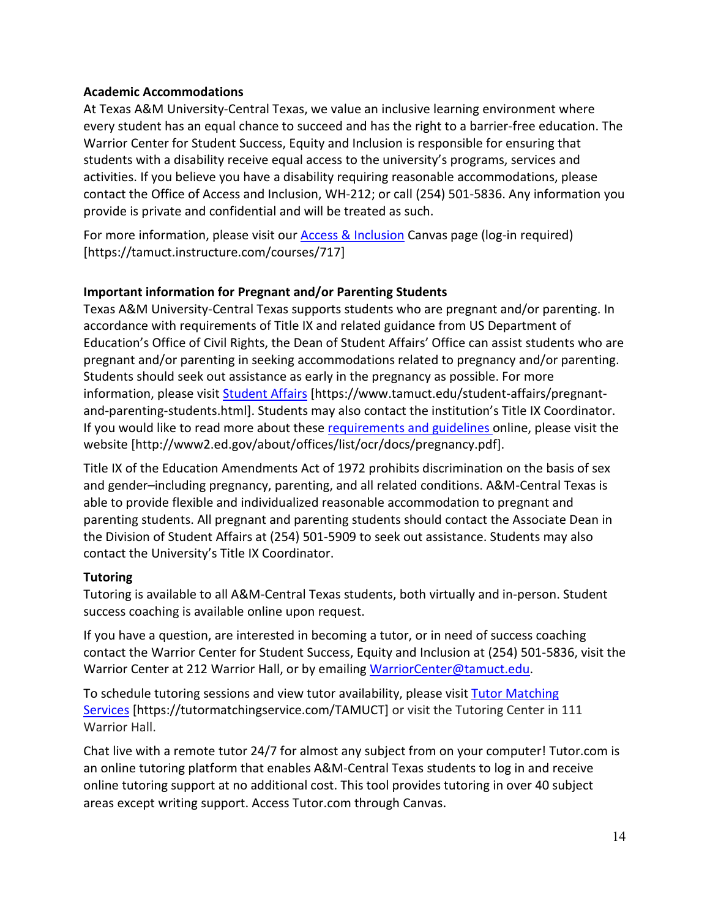## **Academic Accommodations**

At Texas A&M University-Central Texas, we value an inclusive learning environment where every student has an equal chance to succeed and has the right to a barrier-free education. The Warrior Center for Student Success, Equity and Inclusion is responsible for ensuring that students with a disability receive equal access to the university's programs, services and activities. If you believe you have a disability requiring reasonable accommodations, please contact the Office of Access and Inclusion, WH-212; or call (254) 501-5836. Any information you provide is private and confidential and will be treated as such.

For more information, please visit our **Access & Inclusion** Canvas page (log-in required) [https://tamuct.instructure.com/courses/717]

# **Important information for Pregnant and/or Parenting Students**

Texas A&M University-Central Texas supports students who are pregnant and/or parenting. In accordance with requirements of Title IX and related guidance from US Department of Education's Office of Civil Rights, the Dean of Student Affairs' Office can assist students who are pregnant and/or parenting in seeking accommodations related to pregnancy and/or parenting. Students should seek out assistance as early in the pregnancy as possible. For more information, please visit [Student Affairs](https://www.tamuct.edu/student-affairs/pregnant-and-parenting-students.html) [https://www.tamuct.edu/student-affairs/pregnantand-parenting-students.html]. Students may also contact the institution's Title IX Coordinator. If you would like to read more about thes[e requirements and guidelines](http://www2.ed.gov/about/offices/list/ocr/docs/pregnancy.pdf) online, please visit the website [http://www2.ed.gov/about/offices/list/ocr/docs/pregnancy.pdf].

Title IX of the Education Amendments Act of 1972 prohibits discrimination on the basis of sex and gender–including pregnancy, parenting, and all related conditions. A&M-Central Texas is able to provide flexible and individualized reasonable accommodation to pregnant and parenting students. All pregnant and parenting students should contact the Associate Dean in the Division of Student Affairs at (254) 501-5909 to seek out assistance. Students may also contact the University's Title IX Coordinator.

# **Tutoring**

Tutoring is available to all A&M-Central Texas students, both virtually and in-person. Student success coaching is available online upon request.

If you have a question, are interested in becoming a tutor, or in need of success coaching contact the Warrior Center for Student Success, Equity and Inclusion at (254) 501-5836, visit the Warrior Center at 212 Warrior Hall, or by emailing [WarriorCenter@tamuct.edu.](mailto:WarriorCenter@tamuct.edu)

To schedule tutoring sessions and view tutor availability, please visit **Tutor [Matching](https://nam04.safelinks.protection.outlook.com/?url=http%3A%2F%2Fwww.tutormatchingservices.com%2FTAMUCT&data=04%7C01%7Clisa.bunkowski%40tamuct.edu%7C886784139069461670c308d9aa01f55e%7C9eed4e3000f744849ff193ad8005acec%7C0%7C0%7C637727747643427346%7CUnknown%7CTWFpbGZsb3d8eyJWIjoiMC4wLjAwMDAiLCJQIjoiV2luMzIiLCJBTiI6Ik1haWwiLCJXVCI6Mn0%3D%7C3000&sdata=D%2F8HN2bUT1lLPfs5qSqKYlwh8a7pZVy7isM2gppluQE%3D&reserved=0)** [Services](https://nam04.safelinks.protection.outlook.com/?url=http%3A%2F%2Fwww.tutormatchingservices.com%2FTAMUCT&data=04%7C01%7Clisa.bunkowski%40tamuct.edu%7C886784139069461670c308d9aa01f55e%7C9eed4e3000f744849ff193ad8005acec%7C0%7C0%7C637727747643427346%7CUnknown%7CTWFpbGZsb3d8eyJWIjoiMC4wLjAwMDAiLCJQIjoiV2luMzIiLCJBTiI6Ik1haWwiLCJXVCI6Mn0%3D%7C3000&sdata=D%2F8HN2bUT1lLPfs5qSqKYlwh8a7pZVy7isM2gppluQE%3D&reserved=0) [https://tutormatchingservice.com/TAMUCT] or visit the Tutoring Center in 111 Warrior Hall.

Chat live with a remote tutor 24/7 for almost any subject from on your computer! Tutor.com is an online tutoring platform that enables A&M-Central Texas students to log in and receive online tutoring support at no additional cost. This tool provides tutoring in over 40 subject areas except writing support. Access Tutor.com through Canvas.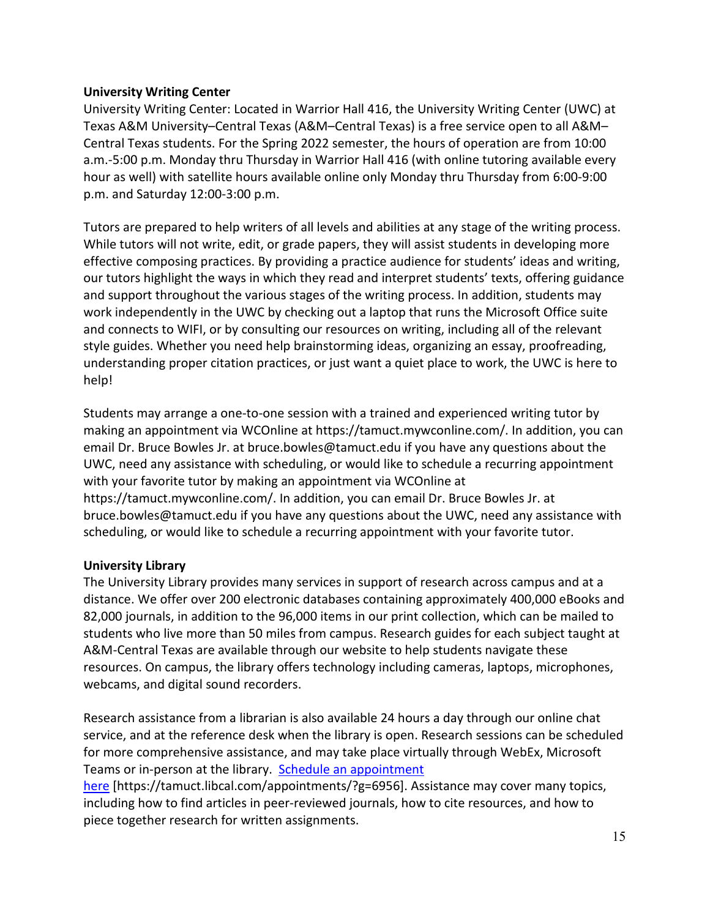## **University Writing Center**

University Writing Center: Located in Warrior Hall 416, the University Writing Center (UWC) at Texas A&M University–Central Texas (A&M–Central Texas) is a free service open to all A&M– Central Texas students. For the Spring 2022 semester, the hours of operation are from 10:00 a.m.-5:00 p.m. Monday thru Thursday in Warrior Hall 416 (with online tutoring available every hour as well) with satellite hours available online only Monday thru Thursday from 6:00-9:00 p.m. and Saturday 12:00-3:00 p.m.

Tutors are prepared to help writers of all levels and abilities at any stage of the writing process. While tutors will not write, edit, or grade papers, they will assist students in developing more effective composing practices. By providing a practice audience for students' ideas and writing, our tutors highlight the ways in which they read and interpret students' texts, offering guidance and support throughout the various stages of the writing process. In addition, students may work independently in the UWC by checking out a laptop that runs the Microsoft Office suite and connects to WIFI, or by consulting our resources on writing, including all of the relevant style guides. Whether you need help brainstorming ideas, organizing an essay, proofreading, understanding proper citation practices, or just want a quiet place to work, the UWC is here to help!

Students may arrange a one-to-one session with a trained and experienced writing tutor by making an appointment via WCOnline at https://tamuct.mywconline.com/. In addition, you can email Dr. Bruce Bowles Jr. at bruce.bowles@tamuct.edu if you have any questions about the UWC, need any assistance with scheduling, or would like to schedule a recurring appointment with your favorite tutor by making an appointment via WCOnline at https://tamuct.mywconline.com/. In addition, you can email Dr. Bruce Bowles Jr. at bruce.bowles@tamuct.edu if you have any questions about the UWC, need any assistance with scheduling, or would like to schedule a recurring appointment with your favorite tutor.

### **University Library**

The University Library provides many services in support of research across campus and at a distance. We offer over 200 electronic databases containing approximately 400,000 eBooks and 82,000 journals, in addition to the 96,000 items in our print collection, which can be mailed to students who live more than 50 miles from campus. Research guides for each subject taught at A&M-Central Texas are available through our website to help students navigate these resources. On campus, the library offers technology including cameras, laptops, microphones, webcams, and digital sound recorders.

Research assistance from a librarian is also available 24 hours a day through our online chat service, and at the reference desk when the library is open. Research sessions can be scheduled for more comprehensive assistance, and may take place virtually through WebEx, Microsoft Teams or in-person at the library. Schedule an [appointment](https://nam04.safelinks.protection.outlook.com/?url=https%3A%2F%2Ftamuct.libcal.com%2Fappointments%2F%3Fg%3D6956&data=04%7C01%7Clisa.bunkowski%40tamuct.edu%7Cde2c07d9f5804f09518008d9ab7ba6ff%7C9eed4e3000f744849ff193ad8005acec%7C0%7C0%7C637729369835011558%7CUnknown%7CTWFpbGZsb3d8eyJWIjoiMC4wLjAwMDAiLCJQIjoiV2luMzIiLCJBTiI6Ik1haWwiLCJXVCI6Mn0%3D%7C3000&sdata=KhtjgRSAw9aq%2FoBsB6wyu8b7PSuGN5EGPypzr3Ty2No%3D&reserved=0)

[here](https://nam04.safelinks.protection.outlook.com/?url=https%3A%2F%2Ftamuct.libcal.com%2Fappointments%2F%3Fg%3D6956&data=04%7C01%7Clisa.bunkowski%40tamuct.edu%7Cde2c07d9f5804f09518008d9ab7ba6ff%7C9eed4e3000f744849ff193ad8005acec%7C0%7C0%7C637729369835011558%7CUnknown%7CTWFpbGZsb3d8eyJWIjoiMC4wLjAwMDAiLCJQIjoiV2luMzIiLCJBTiI6Ik1haWwiLCJXVCI6Mn0%3D%7C3000&sdata=KhtjgRSAw9aq%2FoBsB6wyu8b7PSuGN5EGPypzr3Ty2No%3D&reserved=0) [https://tamuct.libcal.com/appointments/?g=6956]. Assistance may cover many topics, including how to find articles in peer-reviewed journals, how to cite resources, and how to piece together research for written assignments.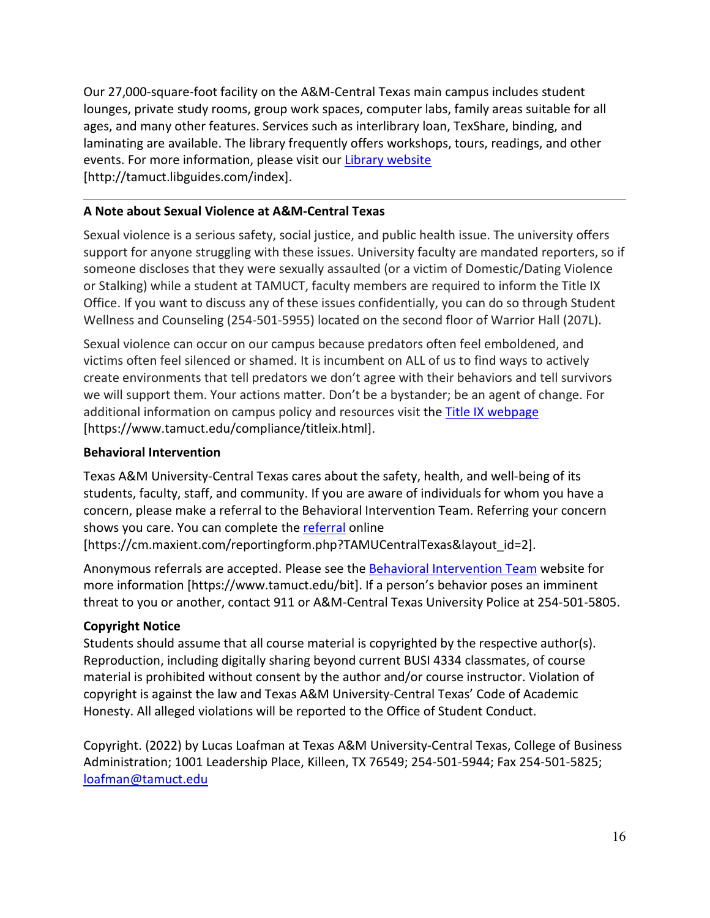Our 27,000-square-foot facility on the A&M-Central Texas main campus includes student lounges, private study rooms, group work spaces, computer labs, family areas suitable for all ages, and many other features. Services such as interlibrary loan, TexShare, binding, and laminating are available. The library frequently offers workshops, tours, readings, and other events. For more information, please visit our Library [website](https://nam04.safelinks.protection.outlook.com/?url=https%3A%2F%2Ftamuct.libguides.com%2Findex&data=04%7C01%7Clisa.bunkowski%40tamuct.edu%7C7d8489e8839a4915335f08d916f067f2%7C9eed4e3000f744849ff193ad8005acec%7C0%7C0%7C637566044056484222%7CUnknown%7CTWFpbGZsb3d8eyJWIjoiMC4wLjAwMDAiLCJQIjoiV2luMzIiLCJBTiI6Ik1haWwiLCJXVCI6Mn0%3D%7C1000&sdata=2R755V6rcIyedGrd4Os5rkgn1PvhHKU3kUV1vBKiHFo%3D&reserved=0) [http://tamuct.libguides.com/index].

# **A Note about Sexual Violence at A&M-Central Texas**

Sexual violence is a serious safety, social justice, and public health issue. The university offers support for anyone struggling with these issues. University faculty are mandated reporters, so if someone discloses that they were sexually assaulted (or a victim of Domestic/Dating Violence or Stalking) while a student at TAMUCT, faculty members are required to inform the Title IX Office. If you want to discuss any of these issues confidentially, you can do so through Student Wellness and Counseling (254-501-5955) located on the second floor of Warrior Hall (207L).

Sexual violence can occur on our campus because predators often feel emboldened, and victims often feel silenced or shamed. It is incumbent on ALL of us to find ways to actively create environments that tell predators we don't agree with their behaviors and tell survivors we will support them. Your actions matter. Don't be a bystander; be an agent of change. For additional information on campus policy and resources visit the [Title IX webpage](https://www.tamuct.edu/compliance/titleix.html) [\[https://www.tamuct.edu/compliance/titleix.html\]](https://www.tamuct.edu/compliance/titleix.html).

# **Behavioral Intervention**

Texas A&M University-Central Texas cares about the safety, health, and well-being of its students, faculty, staff, and community. If you are aware of individuals for whom you have a concern, please make a referral to the Behavioral Intervention Team. Referring your concern shows you care. You can complete the [referral](https://cm.maxient.com/reportingform.php?TAMUCentralTexas&layout_id=2) online

[https://cm.maxient.com/reportingform.php?TAMUCentralTexas&layout\_id=2].

Anonymous referrals are accepted. Please see the [Behavioral Intervention Team](https://www.tamuct.edu/bit) website for more information [https://www.tamuct.edu/bit]. If a person's behavior poses an imminent threat to you or another, contact 911 or A&M-Central Texas University Police at 254-501-5805.

# **Copyright Notice**

Students should assume that all course material is copyrighted by the respective author(s). Reproduction, including digitally sharing beyond current BUSI 4334 classmates, of course material is prohibited without consent by the author and/or course instructor. Violation of copyright is against the law and Texas A&M University-Central Texas' Code of Academic Honesty. All alleged violations will be reported to the Office of Student Conduct.

Copyright. (2022) by Lucas Loafman at Texas A&M University-Central Texas, College of Business Administration; 1001 Leadership Place, Killeen, TX 76549; 254-501-5944; Fax 254-501-5825; [loafman@tamuct.edu](mailto:loafman@tamuct.edu)